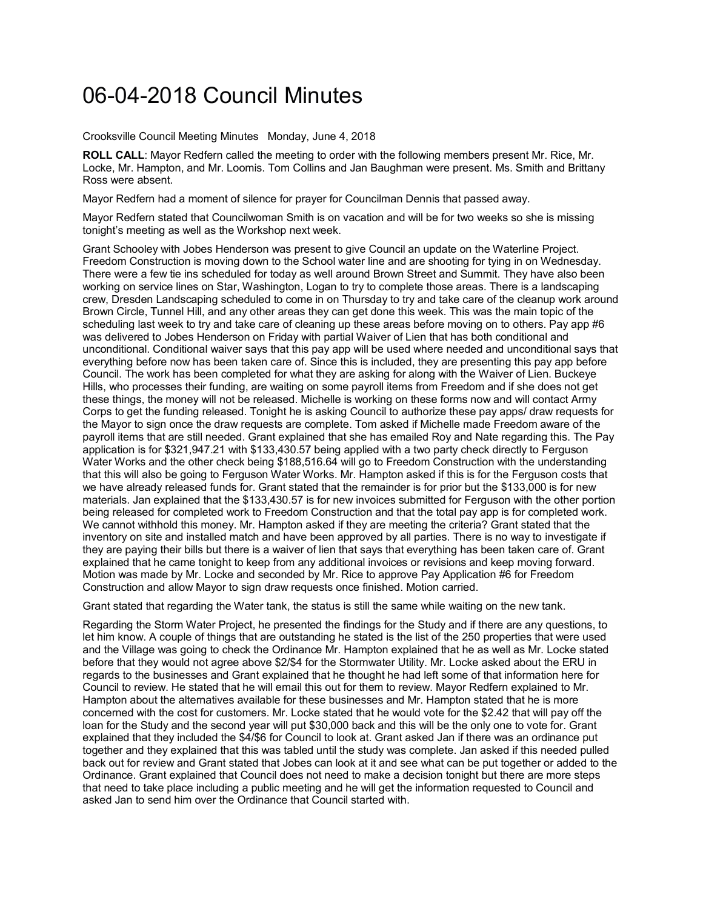## 06-04-2018 Council Minutes

Crooksville Council Meeting Minutes Monday, June 4, 2018

**ROLL CALL**: Mayor Redfern called the meeting to order with the following members present Mr. Rice, Mr. Locke, Mr. Hampton, and Mr. Loomis. Tom Collins and Jan Baughman were present. Ms. Smith and Brittany Ross were absent.

Mayor Redfern had a moment of silence for prayer for Councilman Dennis that passed away.

Mayor Redfern stated that Councilwoman Smith is on vacation and will be for two weeks so she is missing tonight's meeting as well as the Workshop next week.

Grant Schooley with Jobes Henderson was present to give Council an update on the Waterline Project. Freedom Construction is moving down to the School water line and are shooting for tying in on Wednesday. There were a few tie ins scheduled for today as well around Brown Street and Summit. They have also been working on service lines on Star, Washington, Logan to try to complete those areas. There is a landscaping crew, Dresden Landscaping scheduled to come in on Thursday to try and take care of the cleanup work around Brown Circle, Tunnel Hill, and any other areas they can get done this week. This was the main topic of the scheduling last week to try and take care of cleaning up these areas before moving on to others. Pay app #6 was delivered to Jobes Henderson on Friday with partial Waiver of Lien that has both conditional and unconditional. Conditional waiver says that this pay app will be used where needed and unconditional says that everything before now has been taken care of. Since this is included, they are presenting this pay app before Council. The work has been completed for what they are asking for along with the Waiver of Lien. Buckeye Hills, who processes their funding, are waiting on some payroll items from Freedom and if she does not get these things, the money will not be released. Michelle is working on these forms now and will contact Army Corps to get the funding released. Tonight he is asking Council to authorize these pay apps/ draw requests for the Mayor to sign once the draw requests are complete. Tom asked if Michelle made Freedom aware of the payroll items that are still needed. Grant explained that she has emailed Roy and Nate regarding this. The Pay application is for \$321,947.21 with \$133,430.57 being applied with a two party check directly to Ferguson Water Works and the other check being \$188,516.64 will go to Freedom Construction with the understanding that this will also be going to Ferguson Water Works. Mr. Hampton asked if this is for the Ferguson costs that we have already released funds for. Grant stated that the remainder is for prior but the \$133,000 is for new materials. Jan explained that the \$133,430.57 is for new invoices submitted for Ferguson with the other portion being released for completed work to Freedom Construction and that the total pay app is for completed work. We cannot withhold this money. Mr. Hampton asked if they are meeting the criteria? Grant stated that the inventory on site and installed match and have been approved by all parties. There is no way to investigate if they are paying their bills but there is a waiver of lien that says that everything has been taken care of. Grant explained that he came tonight to keep from any additional invoices or revisions and keep moving forward. Motion was made by Mr. Locke and seconded by Mr. Rice to approve Pay Application #6 for Freedom Construction and allow Mayor to sign draw requests once finished. Motion carried.

Grant stated that regarding the Water tank, the status is still the same while waiting on the new tank.

Regarding the Storm Water Project, he presented the findings for the Study and if there are any questions, to let him know. A couple of things that are outstanding he stated is the list of the 250 properties that were used and the Village was going to check the Ordinance Mr. Hampton explained that he as well as Mr. Locke stated before that they would not agree above \$2/\$4 for the Stormwater Utility. Mr. Locke asked about the ERU in regards to the businesses and Grant explained that he thought he had left some of that information here for Council to review. He stated that he will email this out for them to review. Mayor Redfern explained to Mr. Hampton about the alternatives available for these businesses and Mr. Hampton stated that he is more concerned with the cost for customers. Mr. Locke stated that he would vote for the \$2.42 that will pay off the loan for the Study and the second year will put \$30,000 back and this will be the only one to vote for. Grant explained that they included the \$4/\$6 for Council to look at. Grant asked Jan if there was an ordinance put together and they explained that this was tabled until the study was complete. Jan asked if this needed pulled back out for review and Grant stated that Jobes can look at it and see what can be put together or added to the Ordinance. Grant explained that Council does not need to make a decision tonight but there are more steps that need to take place including a public meeting and he will get the information requested to Council and asked Jan to send him over the Ordinance that Council started with.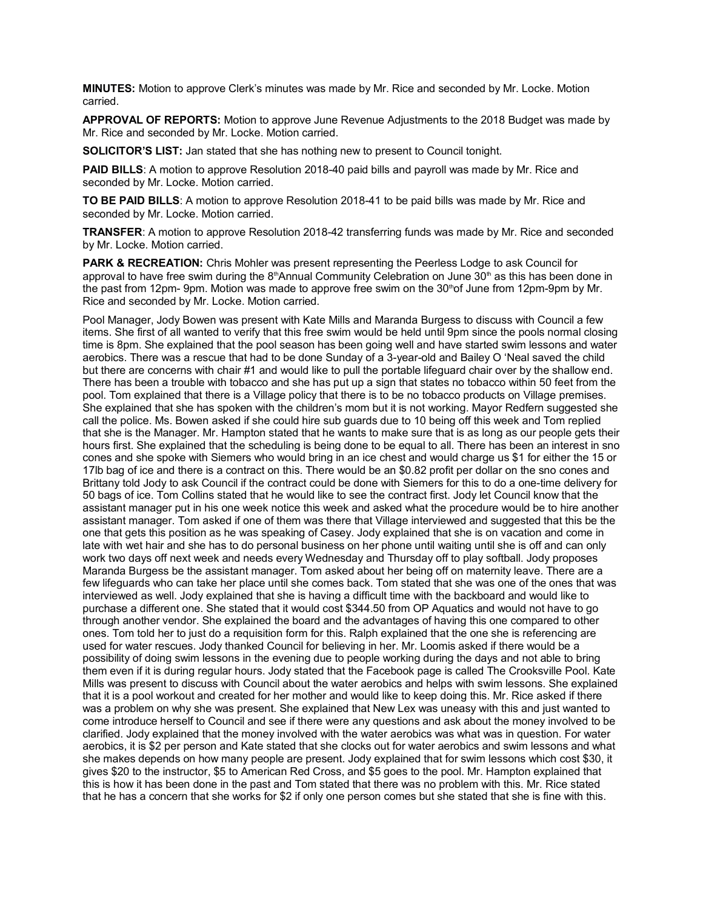**MINUTES:** Motion to approve Clerk's minutes was made by Mr. Rice and seconded by Mr. Locke. Motion carried.

**APPROVAL OF REPORTS:** Motion to approve June Revenue Adjustments to the 2018 Budget was made by Mr. Rice and seconded by Mr. Locke. Motion carried.

**SOLICITOR'S LIST:** Jan stated that she has nothing new to present to Council tonight.

**PAID BILLS**: A motion to approve Resolution 2018-40 paid bills and payroll was made by Mr. Rice and seconded by Mr. Locke. Motion carried.

**TO BE PAID BILLS**: A motion to approve Resolution 2018-41 to be paid bills was made by Mr. Rice and seconded by Mr. Locke. Motion carried.

**TRANSFER**: A motion to approve Resolution 2018-42 transferring funds was made by Mr. Rice and seconded by Mr. Locke. Motion carried.

**PARK & RECREATION:** Chris Mohler was present representing the Peerless Lodge to ask Council for approval to have free swim during the  $8<sup>th</sup>$ Annual Community Celebration on June  $30<sup>th</sup>$  as this has been done in the past from 12pm- 9pm. Motion was made to approve free swim on the 30<sup>th</sup>of June from 12pm-9pm by Mr. Rice and seconded by Mr. Locke. Motion carried.

Pool Manager, Jody Bowen was present with Kate Mills and Maranda Burgess to discuss with Council a few items. She first of all wanted to verify that this free swim would be held until 9pm since the pools normal closing time is 8pm. She explained that the pool season has been going well and have started swim lessons and water aerobics. There was a rescue that had to be done Sunday of a 3-year-old and Bailey O 'Neal saved the child but there are concerns with chair #1 and would like to pull the portable lifeguard chair over by the shallow end. There has been a trouble with tobacco and she has put up a sign that states no tobacco within 50 feet from the pool. Tom explained that there is a Village policy that there is to be no tobacco products on Village premises. She explained that she has spoken with the children's mom but it is not working. Mayor Redfern suggested she call the police. Ms. Bowen asked if she could hire sub guards due to 10 being off this week and Tom replied that she is the Manager. Mr. Hampton stated that he wants to make sure that is as long as our people gets their hours first. She explained that the scheduling is being done to be equal to all. There has been an interest in sno cones and she spoke with Siemers who would bring in an ice chest and would charge us \$1 for either the 15 or 17lb bag of ice and there is a contract on this. There would be an \$0.82 profit per dollar on the sno cones and Brittany told Jody to ask Council if the contract could be done with Siemers for this to do a one-time delivery for 50 bags of ice. Tom Collins stated that he would like to see the contract first. Jody let Council know that the assistant manager put in his one week notice this week and asked what the procedure would be to hire another assistant manager. Tom asked if one of them was there that Village interviewed and suggested that this be the one that gets this position as he was speaking of Casey. Jody explained that she is on vacation and come in late with wet hair and she has to do personal business on her phone until waiting until she is off and can only work two days off next week and needs every Wednesday and Thursday off to play softball. Jody proposes Maranda Burgess be the assistant manager. Tom asked about her being off on maternity leave. There are a few lifeguards who can take her place until she comes back. Tom stated that she was one of the ones that was interviewed as well. Jody explained that she is having a difficult time with the backboard and would like to purchase a different one. She stated that it would cost \$344.50 from OP Aquatics and would not have to go through another vendor. She explained the board and the advantages of having this one compared to other ones. Tom told her to just do a requisition form for this. Ralph explained that the one she is referencing are used for water rescues. Jody thanked Council for believing in her. Mr. Loomis asked if there would be a possibility of doing swim lessons in the evening due to people working during the days and not able to bring them even if it is during regular hours. Jody stated that the Facebook page is called The Crooksville Pool. Kate Mills was present to discuss with Council about the water aerobics and helps with swim lessons. She explained that it is a pool workout and created for her mother and would like to keep doing this. Mr. Rice asked if there was a problem on why she was present. She explained that New Lex was uneasy with this and just wanted to come introduce herself to Council and see if there were any questions and ask about the money involved to be clarified. Jody explained that the money involved with the water aerobics was what was in question. For water aerobics, it is \$2 per person and Kate stated that she clocks out for water aerobics and swim lessons and what she makes depends on how many people are present. Jody explained that for swim lessons which cost \$30, it gives \$20 to the instructor, \$5 to American Red Cross, and \$5 goes to the pool. Mr. Hampton explained that this is how it has been done in the past and Tom stated that there was no problem with this. Mr. Rice stated that he has a concern that she works for \$2 if only one person comes but she stated that she is fine with this.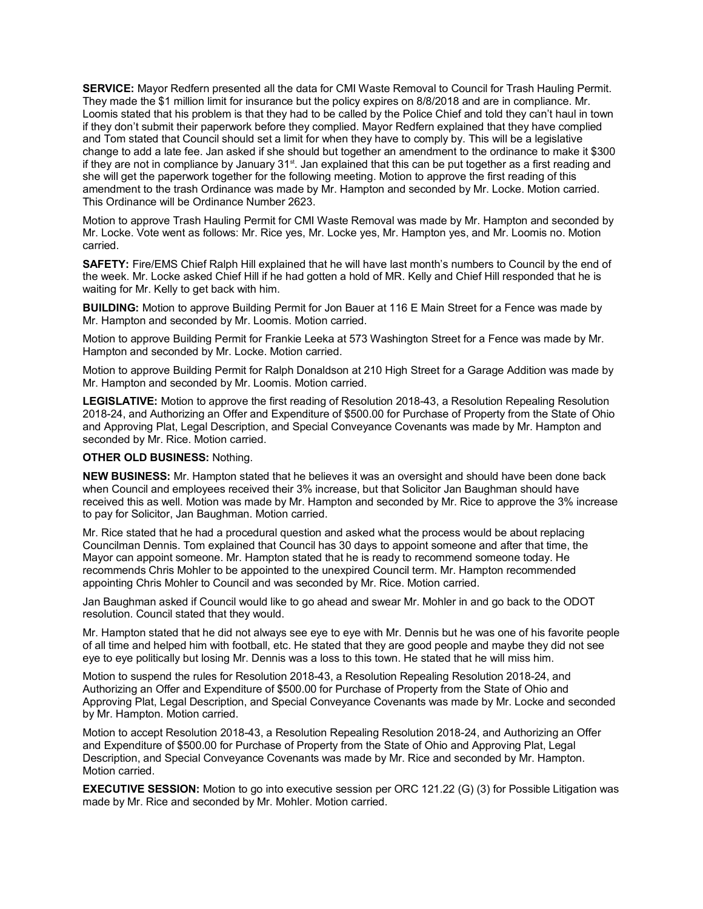**SERVICE:** Mayor Redfern presented all the data for CMI Waste Removal to Council for Trash Hauling Permit. They made the \$1 million limit for insurance but the policy expires on 8/8/2018 and are in compliance. Mr. Loomis stated that his problem is that they had to be called by the Police Chief and told they can't haul in town if they don't submit their paperwork before they complied. Mayor Redfern explained that they have complied and Tom stated that Council should set a limit for when they have to comply by. This will be a legislative change to add a late fee. Jan asked if she should but together an amendment to the ordinance to make it \$300 if they are not in compliance by January 31<sup>st</sup>. Jan explained that this can be put together as a first reading and she will get the paperwork together for the following meeting. Motion to approve the first reading of this amendment to the trash Ordinance was made by Mr. Hampton and seconded by Mr. Locke. Motion carried. This Ordinance will be Ordinance Number 2623.

Motion to approve Trash Hauling Permit for CMI Waste Removal was made by Mr. Hampton and seconded by Mr. Locke. Vote went as follows: Mr. Rice yes, Mr. Locke yes, Mr. Hampton yes, and Mr. Loomis no. Motion carried.

**SAFETY:** Fire/EMS Chief Ralph Hill explained that he will have last month's numbers to Council by the end of the week. Mr. Locke asked Chief Hill if he had gotten a hold of MR. Kelly and Chief Hill responded that he is waiting for Mr. Kelly to get back with him.

**BUILDING:** Motion to approve Building Permit for Jon Bauer at 116 E Main Street for a Fence was made by Mr. Hampton and seconded by Mr. Loomis. Motion carried.

Motion to approve Building Permit for Frankie Leeka at 573 Washington Street for a Fence was made by Mr. Hampton and seconded by Mr. Locke. Motion carried.

Motion to approve Building Permit for Ralph Donaldson at 210 High Street for a Garage Addition was made by Mr. Hampton and seconded by Mr. Loomis. Motion carried.

**LEGISLATIVE:** Motion to approve the first reading of Resolution 2018-43, a Resolution Repealing Resolution 2018-24, and Authorizing an Offer and Expenditure of \$500.00 for Purchase of Property from the State of Ohio and Approving Plat, Legal Description, and Special Conveyance Covenants was made by Mr. Hampton and seconded by Mr. Rice. Motion carried.

## **OTHER OLD BUSINESS:** Nothing.

**NEW BUSINESS:** Mr. Hampton stated that he believes it was an oversight and should have been done back when Council and employees received their 3% increase, but that Solicitor Jan Baughman should have received this as well. Motion was made by Mr. Hampton and seconded by Mr. Rice to approve the 3% increase to pay for Solicitor, Jan Baughman. Motion carried.

Mr. Rice stated that he had a procedural question and asked what the process would be about replacing Councilman Dennis. Tom explained that Council has 30 days to appoint someone and after that time, the Mayor can appoint someone. Mr. Hampton stated that he is ready to recommend someone today. He recommends Chris Mohler to be appointed to the unexpired Council term. Mr. Hampton recommended appointing Chris Mohler to Council and was seconded by Mr. Rice. Motion carried.

Jan Baughman asked if Council would like to go ahead and swear Mr. Mohler in and go back to the ODOT resolution. Council stated that they would.

Mr. Hampton stated that he did not always see eye to eye with Mr. Dennis but he was one of his favorite people of all time and helped him with football, etc. He stated that they are good people and maybe they did not see eye to eye politically but losing Mr. Dennis was a loss to this town. He stated that he will miss him.

Motion to suspend the rules for Resolution 2018-43, a Resolution Repealing Resolution 2018-24, and Authorizing an Offer and Expenditure of \$500.00 for Purchase of Property from the State of Ohio and Approving Plat, Legal Description, and Special Conveyance Covenants was made by Mr. Locke and seconded by Mr. Hampton. Motion carried.

Motion to accept Resolution 2018-43, a Resolution Repealing Resolution 2018-24, and Authorizing an Offer and Expenditure of \$500.00 for Purchase of Property from the State of Ohio and Approving Plat, Legal Description, and Special Conveyance Covenants was made by Mr. Rice and seconded by Mr. Hampton. Motion carried.

**EXECUTIVE SESSION:** Motion to go into executive session per ORC 121.22 (G) (3) for Possible Litigation was made by Mr. Rice and seconded by Mr. Mohler. Motion carried.